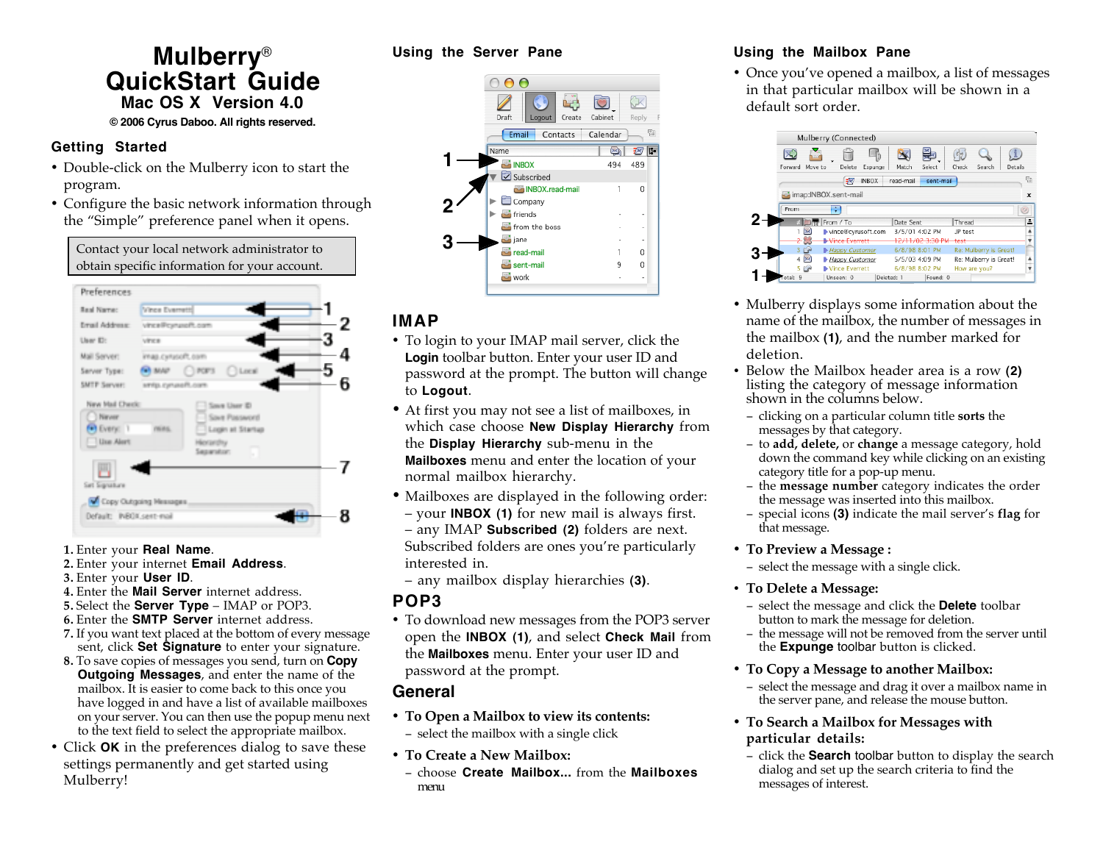# **Mulberry**® **QuickStart Guide Mac OS X Version 4.0 © 2006 Cyrus Daboo. All rights reserved.**

## **Getting Started**

- Double-click on the Mulberry icon to start the program.
- Configure the basic network information through the "Simple" preference panel when it opens.

Contact your local network administrator to obtain specific information for your account.



- **1.** Enter your **Real Name**.
- **2.** Enter your internet **Email Address**.
- **3.** Enter your **User ID**.
- **4.** Enter the **Mail Server** internet address.
- **5.** Select the **Server Type** IMAP or POP3.
- **6.** Enter the **SMTP Server** internet address.
- **7.** If you want text placed at the bottom of every message sent, click **Set Signature** to enter your signature.
- **8.** To save copies of messages you send, turn on **Copy Outgoing Messages**, and enter the name of the mailbox. It is easier to come back to this once you have logged in and have a list of available mailboxes on your server. You can then use the popup menu next to the text field to select the appropriate mailbox.
- Click **OK** in the preferences dialog to save these settings permanently and get started using Mulberry!

### **Using the Server Pane**



# **IMAP**

- To login to your IMAP mail server, click the **Login** toolbar button. Enter your user ID and password at the prompt. The button will change to **Logout**.
- At first you may not see a list of mailboxes, in which case choose **New Display Hierarchy** from the **Display Hierarchy** sub-menu in the **Mailboxes** menu and enter the location of your normal mailbox hierarchy.
- Mailboxes are displayed in the following order: – your **INBOX (1)** for new mail is always first. – any IMAP **Subscribed (2)** folders are next. Subscribed folders are ones you're particularly interested in.
- any mailbox display hierarchies **(3)**.

## **POP3**

• To download new messages from the POP3 server open the **INBOX (1)**, and select **Check Mail** from the **Mailboxes** menu. Enter your user ID and password at the prompt.

# **General**

- **To Open a Mailbox to view its contents:** − select the mailbox with a single click
- **To Create a New Mailbox:**
- − choose **Create Mailbox...** from the **Mailboxes** menu

# **Using the Mailbox Pane**

• Once you've opened a mailbox, a list of messages in that particular mailbox will be shown in a default sort order.



- Mulberry displays some information about the name of the mailbox, the number of messages in the mailbox **(1)**, and the number marked for deletion.
- Below the Mailbox header area is a row **(2)** listing the category of message information shown in the columns below.
	- − clicking on a particular column title **sorts** the messages by that category.
	- − to **add, delete,** or **change** a message category, hold down the command key while clicking on an existing category title for a pop-up menu.
	- − the **message number** category indicates the order the message was inserted into this mailbox.
	- − special icons **(3)** indicate the mail server's **flag** for that message.
- **To Preview a Message :**

− select the message with a single click.

## • **To Delete a Message:**

- − select the message and click the **Delete** toolbar button to mark the message for deletion.
- − the message will not be removed from the server until the **Expunge** toolbar button is clicked.
- **To Copy a Message to another Mailbox:**
	- − select the message and drag it over a mailbox name in the server pane, and release the mouse button.
- **To Search a Mailbox for Messages with particular details:**
- − click the **Search** toolbar button to display the search dialog and set up the search criteria to find the messages of interest.